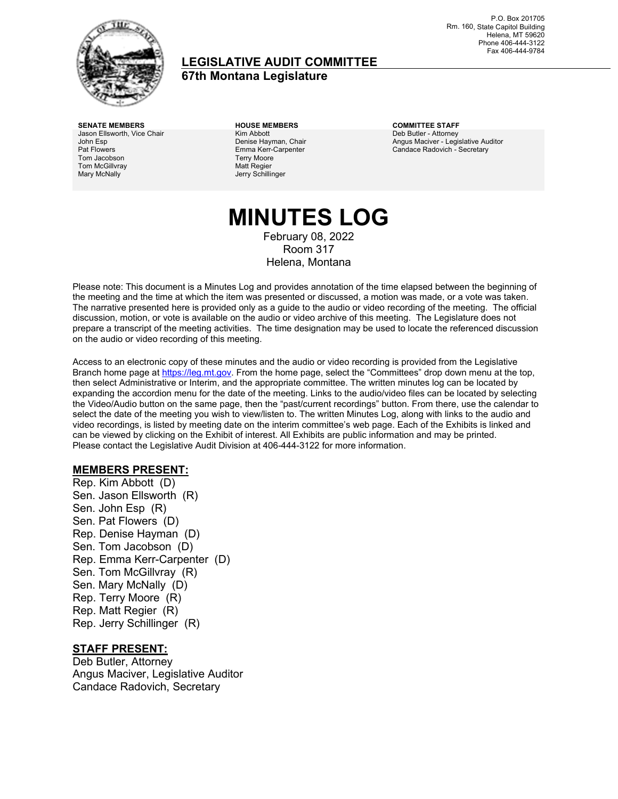

### **LEGISLATIVE AUDIT COMMITTEE**

**67th Montana Legislature**

**SENATE MEMBERS HOUSE MEMBERS COMMITTEE STAFF** Jason Ellsworth, Vice Chair John Esp Pat Flowers Tom Jacobson Tom McGillvray Mary McNally

Kim Abbott Denise Hayman, Chair Emma Kerr-Carpenter Terry Moore Matt Regier Jerry Schillinger

Deb Butler - Attorney Angus Maciver - Legislative Auditor Candace Radovich - Secretary

### **MINUTES LOG** February 08, 2022 Room 317 Helena, Montana

Please note: This document is a Minutes Log and provides annotation of the time elapsed between the beginning of the meeting and the time at which the item was presented or discussed, a motion was made, or a vote was taken. The narrative presented here is provided only as a guide to the audio or video recording of the meeting. The official discussion, motion, or vote is available on the audio or video archive of this meeting. The Legislature does not prepare a transcript of the meeting activities. The time designation may be used to locate the referenced discussion on the audio or video recording of this meeting.

Access to an electronic copy of these minutes and the audio or video recording is provided from the Legislative Branch home page a[t https://leg.mt.gov.](http://legmt.gov/) From the home page, select the "Committees" drop down menu at the top, then select Administrative or Interim, and the appropriate committee. The written minutes log can be located by expanding the accordion menu for the date of the meeting. Links to the audio/video files can be located by selecting the Video/Audio button on the same page, then the "past/current recordings" button. From there, use the calendar to select the date of the meeting you wish to view/listen to. The written Minutes Log, along with links to the audio and video recordings, is listed by meeting date on the interim committee's web page. Each of the Exhibits is linked and can be viewed by clicking on the Exhibit of interest. All Exhibits are public information and may be printed. Please contact the Legislative Audit Division at 406-444-3122 for more information.

### **MEMBERS PRESENT:**

Rep. Kim Abbott (D) Sen. Jason Ellsworth (R) Sen. John Esp (R) Sen. Pat Flowers (D) Rep. Denise Hayman (D) Sen. Tom Jacobson (D) Rep. Emma Kerr-Carpenter (D) Sen. Tom McGillvray (R) Sen. Mary McNally (D) Rep. Terry Moore (R) Rep. Matt Regier (R) Rep. Jerry Schillinger (R)

#### **STAFF PRESENT:**

Deb Butler, Attorney Angus Maciver, Legislative Auditor Candace Radovich, Secretary

P.O. Box 201705 Rm. 160, State Capitol Building Helena, MT 59620 Phone 406-444-3122 Fax 406-444-9784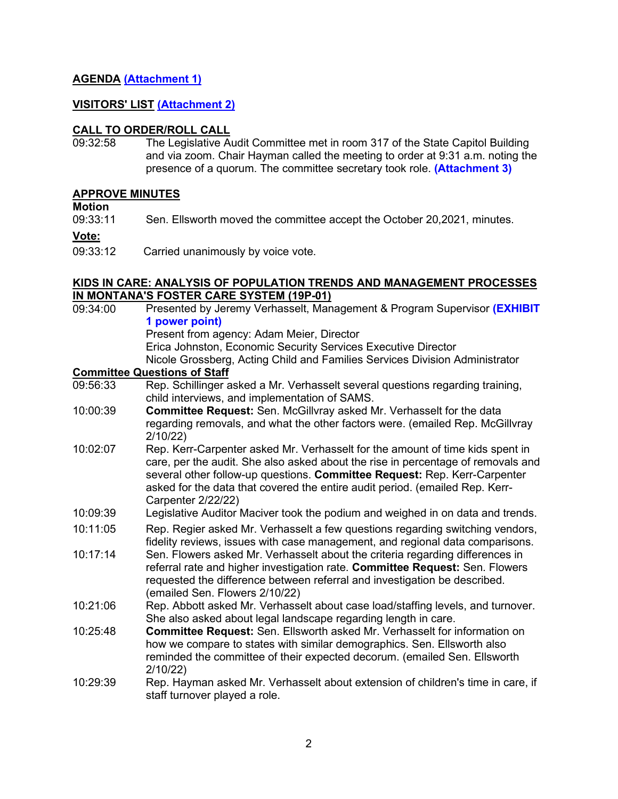### **AGENDA [\(Attachment 1\)](https://leg.mt.gov/content/Committees/Administration/audit/2021-22/Meetings/Jan-2022/Exhibits/A1.pdf)**

### **VISITORS' LIST [\(Attachment 2\)](https://leg.mt.gov/content/Committees/Administration/audit/2021-22/Meetings/Jan-2022/Exhibits/A2.pdf)**

# **CALL TO ORDER/ROLL CALL**<br>09:32:58 The Legislative Au

The Legislative Audit Committee met in room 317 of the State Capitol Building and via zoom. Chair Hayman called the meeting to order at 9:31 a.m. noting the presence of a quorum. The committee secretary took role. **[\(Attachment 3\)](https://leg.mt.gov/content/Committees/Administration/audit/2021-22/Meetings/Jan-2022/Exhibits/A3.pdf)**

#### **APPROVE MINUTES**

**Motion**<br>09:33:11 Sen. Ellsworth moved the committee accept the October 20,2021, minutes.

**Vote:**

09:33:12 Carried unanimously by voice vote.

#### **KIDS IN CARE: ANALYSIS OF POPULATION TRENDS AND MANAGEMENT PROCESSES IN MONTANA'S FOSTER CARE SYSTEM (19P-01)**

| 09:34:00                            | Presented by Jeremy Verhasselt, Management & Program Supervisor (EXHIBIT                                                                                                                                                                                                                                                                             |  |
|-------------------------------------|------------------------------------------------------------------------------------------------------------------------------------------------------------------------------------------------------------------------------------------------------------------------------------------------------------------------------------------------------|--|
|                                     | 1 power point)                                                                                                                                                                                                                                                                                                                                       |  |
|                                     | Present from agency: Adam Meier, Director                                                                                                                                                                                                                                                                                                            |  |
|                                     | Erica Johnston, Economic Security Services Executive Director                                                                                                                                                                                                                                                                                        |  |
|                                     | Nicole Grossberg, Acting Child and Families Services Division Administrator                                                                                                                                                                                                                                                                          |  |
| <b>Committee Questions of Staff</b> |                                                                                                                                                                                                                                                                                                                                                      |  |
| 09:56:33                            | Rep. Schillinger asked a Mr. Verhasselt several questions regarding training,<br>child interviews, and implementation of SAMS.                                                                                                                                                                                                                       |  |
| 10:00:39                            | <b>Committee Request:</b> Sen. McGillvray asked Mr. Verhasselt for the data                                                                                                                                                                                                                                                                          |  |
|                                     | regarding removals, and what the other factors were. (emailed Rep. McGillvray<br>2/10/22                                                                                                                                                                                                                                                             |  |
| 10:02:07                            | Rep. Kerr-Carpenter asked Mr. Verhasselt for the amount of time kids spent in<br>care, per the audit. She also asked about the rise in percentage of removals and<br>several other follow-up questions. Committee Request: Rep. Kerr-Carpenter<br>asked for the data that covered the entire audit period. (emailed Rep. Kerr-<br>Carpenter 2/22/22) |  |
| 10:09:39                            | Legislative Auditor Maciver took the podium and weighed in on data and trends.                                                                                                                                                                                                                                                                       |  |
| 10:11:05                            | Rep. Regier asked Mr. Verhasselt a few questions regarding switching vendors,<br>fidelity reviews, issues with case management, and regional data comparisons.                                                                                                                                                                                       |  |
| 10:17:14                            | Sen. Flowers asked Mr. Verhasselt about the criteria regarding differences in<br>referral rate and higher investigation rate. Committee Request: Sen. Flowers<br>requested the difference between referral and investigation be described.<br>(emailed Sen. Flowers 2/10/22)                                                                         |  |
| 10:21:06                            | Rep. Abbott asked Mr. Verhasselt about case load/staffing levels, and turnover.<br>She also asked about legal landscape regarding length in care.                                                                                                                                                                                                    |  |
| 10:25:48                            | <b>Committee Request:</b> Sen. Ellsworth asked Mr. Verhasselt for information on<br>how we compare to states with similar demographics. Sen. Ellsworth also<br>reminded the committee of their expected decorum. (emailed Sen. Ellsworth<br>2/10/22                                                                                                  |  |
| 10:29:39                            | Rep. Hayman asked Mr. Verhasselt about extension of children's time in care, if<br>staff turnover played a role.                                                                                                                                                                                                                                     |  |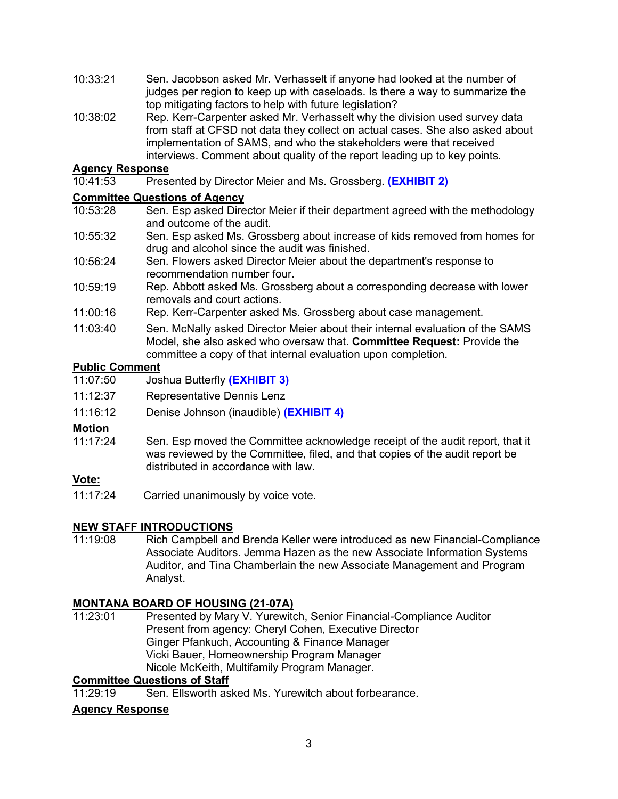- 10:33:21 Sen. Jacobson asked Mr. Verhasselt if anyone had looked at the number of judges per region to keep up with caseloads. Is there a way to summarize the top mitigating factors to help with future legislation?
- 10:38:02 Rep. Kerr-Carpenter asked Mr. Verhasselt why the division used survey data from staff at CFSD not data they collect on actual cases. She also asked about implementation of SAMS, and who the stakeholders were that received interviews. Comment about quality of the report leading up to key points.

### **Agency Response**

10:41:53 Presented by Director Meier and Ms. Grossberg. **[\(EXHIBIT 2\)](https://leg.mt.gov/content/Committees/Administration/audit/2021-22/Meetings/Jan-2022/Exhibits/E2.pdf)**

### **Committee Questions of Agency**<br>10:53:28 **Sen, Esp asked Dire**

- Sen. Esp asked Director Meier if their department agreed with the methodology and outcome of the audit.
- 10:55:32 Sen. Esp asked Ms. Grossberg about increase of kids removed from homes for drug and alcohol since the audit was finished.
- 10:56:24 Sen. Flowers asked Director Meier about the department's response to recommendation number four.
- 10:59:19 Rep. Abbott asked Ms. Grossberg about a corresponding decrease with lower removals and court actions.
- 11:00:16 Rep. Kerr-Carpenter asked Ms. Grossberg about case management.
- 11:03:40 Sen. McNally asked Director Meier about their internal evaluation of the SAMS Model, she also asked who oversaw that. **Committee Request:** Provide the committee a copy of that internal evaluation upon completion.

### **Public Comment**<br>11:07:50 Jos

- 11:07:50 Joshua Butterfly **[\(EXHIBIT 3\)](https://leg.mt.gov/content/Committees/Administration/audit/2021-22/Meetings/Jan-2022/Exhibits/E3.pdf)**
- 11:12:37 Representative Dennis Lenz
- 11:16:12 Denise Johnson (inaudible) **[\(EXHIBIT 4\)](https://leg.mt.gov/content/Committees/Administration/audit/2021-22/Meetings/Jan-2022/Exhibits/E4.pdf)**

### **Motion**<br>11:17:24

Sen. Esp moved the Committee acknowledge receipt of the audit report, that it was reviewed by the Committee, filed, and that copies of the audit report be distributed in accordance with law.

### **Vote:**

11:17:24 Carried unanimously by voice vote.

### **NEW STAFF INTRODUCTIONS**<br>11:19:08 Rich Campbell and

Rich Campbell and Brenda Keller were introduced as new Financial-Compliance Associate Auditors. Jemma Hazen as the new Associate Information Systems Auditor, and Tina Chamberlain the new Associate Management and Program Analyst.

# **MONTANA BOARD OF HOUSING (21-07A)**

Presented by Mary V. Yurewitch, Senior Financial-Compliance Auditor Present from agency: Cheryl Cohen, Executive Director Ginger Pfankuch, Accounting & Finance Manager Vicki Bauer, Homeownership Program Manager Nicole McKeith, Multifamily Program Manager.

### **Committee Questions of Staff**

11:29:19 Sen. Ellsworth asked Ms. Yurewitch about forbearance.

### **Agency Response**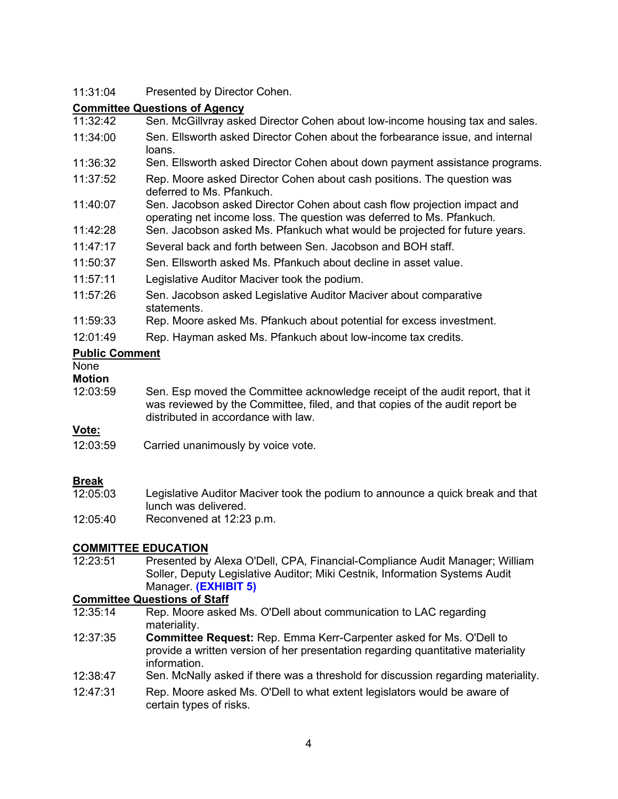### 11:31:04 Presented by Director Cohen.

# **Committee Questions of Agency**<br>11:32:42 Sen. McGillyray aske

- Sen. McGillvray asked Director Cohen about low-income housing tax and sales.
- 11:34:00 Sen. Ellsworth asked Director Cohen about the forbearance issue, and internal loans.
- 11:36:32 Sen. Ellsworth asked Director Cohen about down payment assistance programs.
- 11:37:52 Rep. Moore asked Director Cohen about cash positions. The question was deferred to Ms. Pfankuch.
- 11:40:07 Sen. Jacobson asked Director Cohen about cash flow projection impact and operating net income loss. The question was deferred to Ms. Pfankuch.
- 11:42:28 Sen. Jacobson asked Ms. Pfankuch what would be projected for future years.
- 11:47:17 Several back and forth between Sen. Jacobson and BOH staff.
- 11:50:37 Sen. Ellsworth asked Ms. Pfankuch about decline in asset value.
- 11:57:11 Legislative Auditor Maciver took the podium.
- 11:57:26 Sen. Jacobson asked Legislative Auditor Maciver about comparative **statements**
- 11:59:33 Rep. Moore asked Ms. Pfankuch about potential for excess investment.
- 12:01:49 Rep. Hayman asked Ms. Pfankuch about low-income tax credits.

### **Public Comment**

None

### **Motion**

12:03:59 Sen. Esp moved the Committee acknowledge receipt of the audit report, that it was reviewed by the Committee, filed, and that copies of the audit report be distributed in accordance with law.

### **Vote:**

12:03:59 Carried unanimously by voice vote.

- **Break**<br>12:05:03 Legislative Auditor Maciver took the podium to announce a quick break and that lunch was delivered.
- 12:05:40 Reconvened at 12:23 p.m.

# **COMMITTEE EDUCATION**<br>12:23:51 Presented by

Presented by Alexa O'Dell, CPA, Financial-Compliance Audit Manager; William Soller, Deputy Legislative Auditor; Miki Cestnik, Information Systems Audit Manager. **[\(EXHIBIT 5\)](https://leg.mt.gov/content/Committees/Administration/audit/2021-22/Meetings/Jan-2022/Exhibits/E5.pdf)**

# **Committee Questions of Staff**<br>12:35:14 Rep. Moore asked

- Rep. Moore asked Ms. O'Dell about communication to LAC regarding materiality.
- 12:37:35 **Committee Request:** Rep. Emma Kerr-Carpenter asked for Ms. O'Dell to provide a written version of her presentation regarding quantitative materiality information.
- 12:38:47 Sen. McNally asked if there was a threshold for discussion regarding materiality.
- 12:47:31 Rep. Moore asked Ms. O'Dell to what extent legislators would be aware of certain types of risks.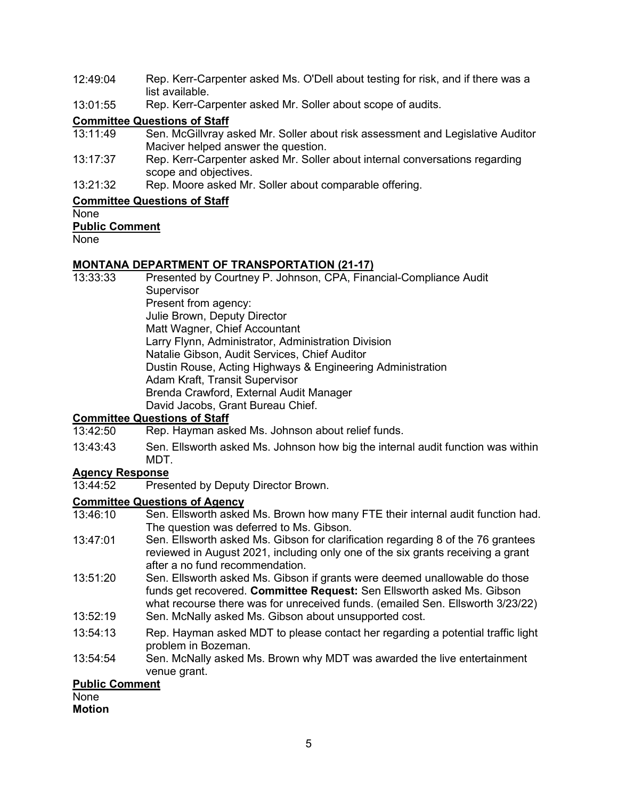- 12:49:04 Rep. Kerr-Carpenter asked Ms. O'Dell about testing for risk, and if there was a list available.
- 13:01:55 Rep. Kerr-Carpenter asked Mr. Soller about scope of audits.

# **Committee Questions of Staff**<br>13:11:49 **Sen, McGillyray a**

- Sen. McGillvray asked Mr. Soller about risk assessment and Legislative Auditor Maciver helped answer the question.
- 13:17:37 Rep. Kerr-Carpenter asked Mr. Soller about internal conversations regarding scope and objectives.
- 13:21:32 Rep. Moore asked Mr. Soller about comparable offering.

### **Committee Questions of Staff**

### None

### **Public Comment**

**None** 

# **MONTANA DEPARTMENT OF TRANSPORTATION (21-17)**

Presented by Courtney P. Johnson, CPA, Financial-Compliance Audit **Supervisor** Present from agency: Julie Brown, Deputy Director Matt Wagner, Chief Accountant Larry Flynn, Administrator, Administration Division Natalie Gibson, Audit Services, Chief Auditor Dustin Rouse, Acting Highways & Engineering Administration Adam Kraft, Transit Supervisor Brenda Crawford, External Audit Manager David Jacobs, Grant Bureau Chief.

### **Committee Questions of Staff**

- 13:42:50 Rep. Hayman asked Ms. Johnson about relief funds.
- 13:43:43 Sen. Ellsworth asked Ms. Johnson how big the internal audit function was within MDT.

### **Agency Response**

13:44:52 Presented by Deputy Director Brown.

# **Committee Questions of Agency**<br>13:46:10 **Sen, Ellsworth asked**

- Sen. Ellsworth asked Ms. Brown how many FTE their internal audit function had. The question was deferred to Ms. Gibson.
- 13:47:01 Sen. Ellsworth asked Ms. Gibson for clarification regarding 8 of the 76 grantees reviewed in August 2021, including only one of the six grants receiving a grant after a no fund recommendation.
- 13:51:20 Sen. Ellsworth asked Ms. Gibson if grants were deemed unallowable do those funds get recovered. **Committee Request:** Sen Ellsworth asked Ms. Gibson what recourse there was for unreceived funds. (emailed Sen. Ellsworth 3/23/22)
- 13:52:19 Sen. McNally asked Ms. Gibson about unsupported cost.
- 13:54:13 Rep. Hayman asked MDT to please contact her regarding a potential traffic light problem in Bozeman.
- 13:54:54 Sen. McNally asked Ms. Brown why MDT was awarded the live entertainment venue grant.

### **Public Comment**

### None

**Motion**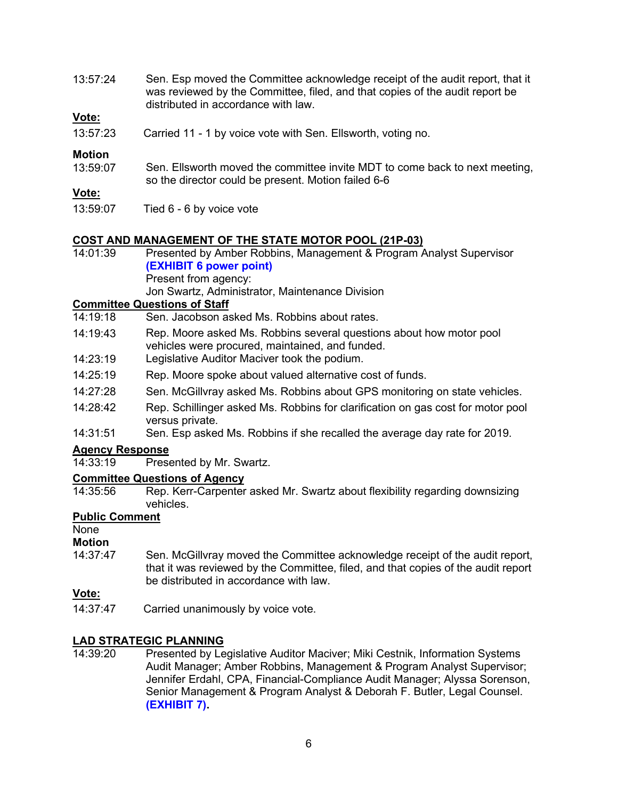13:57:24 Sen. Esp moved the Committee acknowledge receipt of the audit report, that it was reviewed by the Committee, filed, and that copies of the audit report be distributed in accordance with law.

#### **Vote:**

13:57:23 Carried 11 - 1 by voice vote with Sen. Ellsworth, voting no.

### **Motion**<br>13:59:07

Sen. Ellsworth moved the committee invite MDT to come back to next meeting, so the director could be present. Motion failed 6-6

### **Vote:**

13:59:07 Tied 6 - 6 by voice vote

### **COST AND MANAGEMENT OF THE STATE MOTOR POOL (21P-03)**<br>14:01:39 Presented by Amber Robbins, Management & Program A

Presented by Amber Robbins, Management & Program Analyst Supervisor **[\(EXHIBIT 6](https://leg.mt.gov/content/Committees/Administration/audit/2021-22/Meetings/Jan-2022/Exhibits/E6.pdf) power point)** Present from agency: Jon Swartz, Administrator, Maintenance Division

### **Committee Questions of Staff**<br>14:19:18 **Sen**, Jacobson as

- Sen. Jacobson asked Ms. Robbins about rates.
- 14:19:43 Rep. Moore asked Ms. Robbins several questions about how motor pool vehicles were procured, maintained, and funded.
- 14:23:19 Legislative Auditor Maciver took the podium.
- 14:25:19 Rep. Moore spoke about valued alternative cost of funds.
- 14:27:28 Sen. McGillvray asked Ms. Robbins about GPS monitoring on state vehicles.
- 14:28:42 Rep. Schillinger asked Ms. Robbins for clarification on gas cost for motor pool versus private.
- 14:31:51 Sen. Esp asked Ms. Robbins if she recalled the average day rate for 2019.

### **Agency Response**

Presented by Mr. Swartz.

# **Committee Questions of Agency**<br>14:35:56 Rep. Kerr-Carpenter

Rep. Kerr-Carpenter asked Mr. Swartz about flexibility regarding downsizing vehicles.

#### **Public Comment**

#### None

### **Motion**

14:37:47 Sen. McGillvray moved the Committee acknowledge receipt of the audit report, that it was reviewed by the Committee, filed, and that copies of the audit report be distributed in accordance with law.

### **Vote:**

14:37:47 Carried unanimously by voice vote.

#### **LAD STRATEGIC PLANNING**

14:39:20 Presented by Legislative Auditor Maciver; Miki Cestnik, Information Systems Audit Manager; Amber Robbins, Management & Program Analyst Supervisor; Jennifer Erdahl, CPA, Financial-Compliance Audit Manager; Alyssa Sorenson, Senior Management & Program Analyst & Deborah F. Butler, Legal Counsel. **[\(EXHIBIT 7\).](https://leg.mt.gov/content/Committees/Administration/audit/2021-22/Meetings/Jan-2022/Exhibits/E7.pdf)**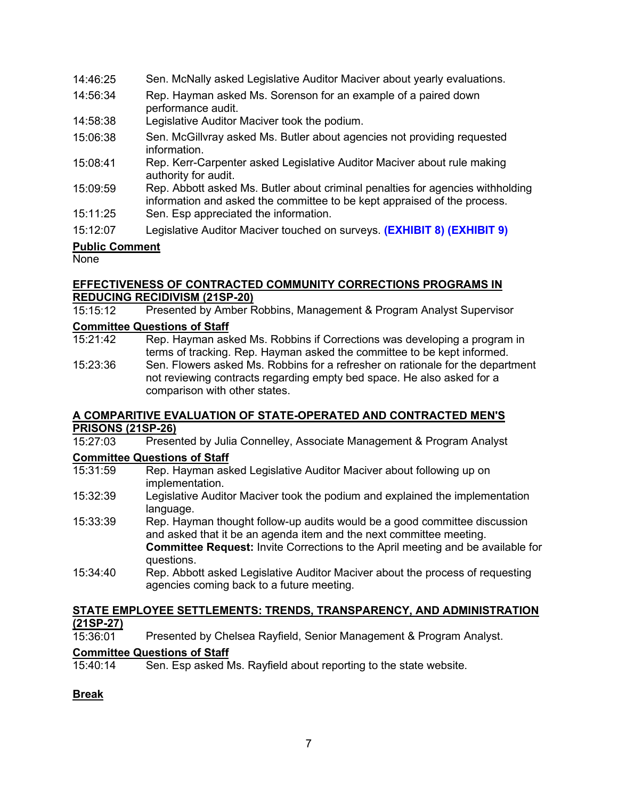| 14:46:25              | Sen. McNally asked Legislative Auditor Maciver about yearly evaluations.                                                                                   |  |
|-----------------------|------------------------------------------------------------------------------------------------------------------------------------------------------------|--|
| 14:56:34              | Rep. Hayman asked Ms. Sorenson for an example of a paired down<br>performance audit.                                                                       |  |
| 14:58:38              | Legislative Auditor Maciver took the podium.                                                                                                               |  |
| 15:06:38              | Sen. McGillvray asked Ms. Butler about agencies not providing requested<br>information.                                                                    |  |
| 15:08:41              | Rep. Kerr-Carpenter asked Legislative Auditor Maciver about rule making<br>authority for audit.                                                            |  |
| 15:09:59              | Rep. Abbott asked Ms. Butler about criminal penalties for agencies withholding<br>information and asked the committee to be kept appraised of the process. |  |
| 15:11:25              | Sen. Esp appreciated the information.                                                                                                                      |  |
| 15:12:07              | Legislative Auditor Maciver touched on surveys. (EXHIBIT 8) (EXHIBIT 9)                                                                                    |  |
| <b>Dublic Commont</b> |                                                                                                                                                            |  |

### **Public Comment**

None

### **EFFECTIVENESS OF CONTRACTED COMMUNITY CORRECTIONS PROGRAMS IN REDUCING RECIDIVISM (21SP-20)**<br>15:15:12 Presented by Amber F

Presented by Amber Robbins, Management & Program Analyst Supervisor

### **Committee Questions of Staff**<br>15:21:42 Rep. Hayman ask

- Rep. Hayman asked Ms. Robbins if Corrections was developing a program in terms of tracking. Rep. Hayman asked the committee to be kept informed.
- 15:23:36 Sen. Flowers asked Ms. Robbins for a refresher on rationale for the department not reviewing contracts regarding empty bed space. He also asked for a comparison with other states.

### **A COMPARITIVE EVALUATION OF STATE-OPERATED AND CONTRACTED MEN'S PRISONS (21SP-26)**

15:27:03 Presented by Julia Connelley, Associate Management & Program Analyst

### **Committee Questions of Staff**

- 15:31:59 Rep. Hayman asked Legislative Auditor Maciver about following up on implementation.
- 15:32:39 Legislative Auditor Maciver took the podium and explained the implementation language.
- 15:33:39 Rep. Hayman thought follow-up audits would be a good committee discussion and asked that it be an agenda item and the next committee meeting. **Committee Request:** Invite Corrections to the April meeting and be available for questions.
- 15:34:40 Rep. Abbott asked Legislative Auditor Maciver about the process of requesting agencies coming back to a future meeting.

### **STATE EMPLOYEE SETTLEMENTS: TRENDS, TRANSPARENCY, AND ADMINISTRATION (21SP-27)**

15:36:01 Presented by Chelsea Rayfield, Senior Management & Program Analyst.

### **Committee Questions of Staff**

15:40:14 Sen. Esp asked Ms. Rayfield about reporting to the state website.

### **Break**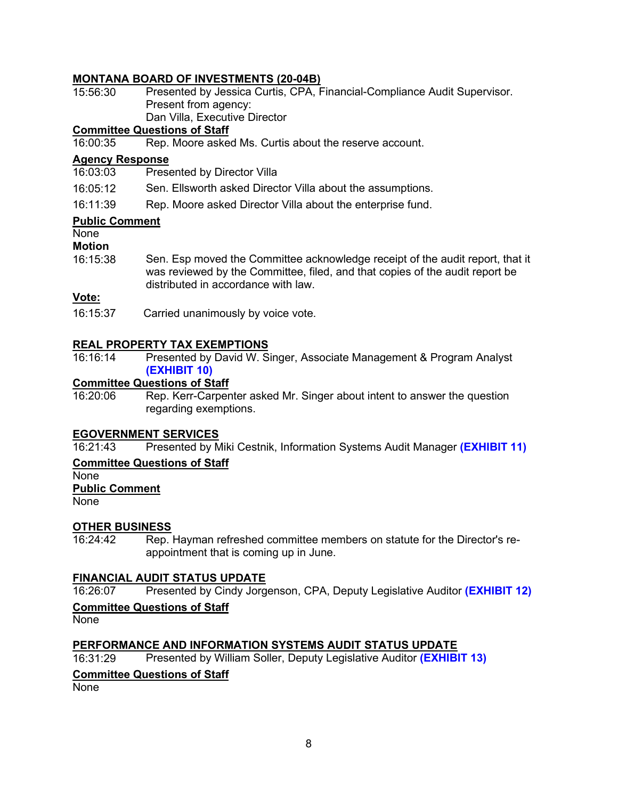### **MONTANA BOARD OF INVESTMENTS (20-04B)**

| 15:56:30 | Presented by Jessica Curtis, CPA, Financial-Compliance Audit Supervisor. |
|----------|--------------------------------------------------------------------------|
|          | Present from agency:                                                     |
|          | Dan Villa, Executive Director                                            |
|          | Committee Questions of Ctaff                                             |

### **Committee Questions of Staff**

Rep. Moore asked Ms. Curtis about the reserve account.

### **Agency Response**

Presented by Director Villa

16:05:12 Sen. Ellsworth asked Director Villa about the assumptions.

16:11:39 Rep. Moore asked Director Villa about the enterprise fund.

#### **Public Comment**

None

**Motion**

16:15:38 Sen. Esp moved the Committee acknowledge receipt of the audit report, that it was reviewed by the Committee, filed, and that copies of the audit report be distributed in accordance with law.

#### **Vote:**

16:15:37 Carried unanimously by voice vote.

### **REAL PROPERTY TAX EXEMPTIONS**

16:16:14 Presented by David W. Singer, Associate Management & Program Analyst **[\(EXHIBIT 10\)](https://leg.mt.gov/content/Committees/Administration/audit/2021-22/Meetings/Jan-2022/Exhibits/E10.pdf)**

### **Committee Questions of Staff**<br>16:20:06 Rep. Kerr-Carper

Rep. Kerr-Carpenter asked Mr. Singer about intent to answer the question regarding exemptions.

#### **EGOVERNMENT SERVICES**

16:21:43 Presented by Miki Cestnik, Information Systems Audit Manager **[\(EXHIBIT 11\)](https://leg.mt.gov/content/Committees/Administration/audit/2021-22/Meetings/Jan-2022/Exhibits/E11.pdf)**

#### **Committee Questions of Staff**

None

**Public Comment**

None

### **OTHER BUSINESS**

16:24:42 Rep. Hayman refreshed committee members on statute for the Director's reappointment that is coming up in June.

#### **FINANCIAL AUDIT STATUS UPDATE**

16:26:07 Presented by Cindy Jorgenson, CPA, Deputy Legislative Auditor **[\(EXHIBIT 12\)](https://leg.mt.gov/content/Committees/Administration/audit/2021-22/Meetings/Jan-2022/Exhibits/E12.pdf)**

### **Committee Questions of Staff**

None

### **PERFORMANCE AND INFORMATION SYSTEMS AUDIT STATUS UPDATE**

16:31:29 Presented by William Soller, Deputy Legislative Auditor **[\(EXHIBIT 13\)](https://leg.mt.gov/content/Committees/Administration/audit/2021-22/Meetings/Jan-2022/Exhibits/E13.pdf)**

### **Committee Questions of Staff**

None